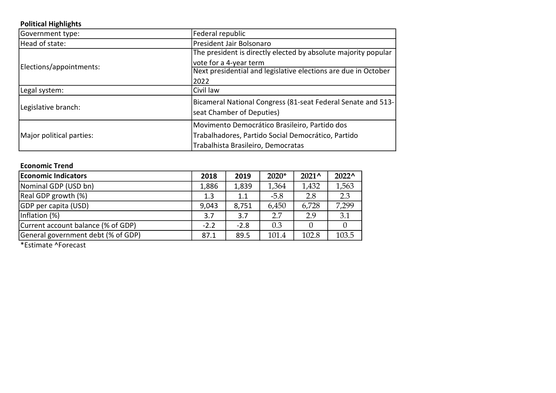#### Political Highlights

| Government type:         | Federal republic                                               |
|--------------------------|----------------------------------------------------------------|
| Head of state:           | President Jair Bolsonaro                                       |
| Elections/appointments:  | The president is directly elected by absolute majority popular |
|                          | vote for a 4-year term                                         |
|                          | Next presidential and legislative elections are due in October |
|                          | 2022                                                           |
| Legal system:            | Civil law                                                      |
| Legislative branch:      | Bicameral National Congress (81-seat Federal Senate and 513-   |
|                          | seat Chamber of Deputies)                                      |
|                          | Movimento Democrático Brasileiro, Partido dos                  |
| Major political parties: | Trabalhadores, Partido Social Democrático, Partido             |
|                          | Trabalhista Brasileiro, Democratas                             |

#### Economic Trend

| <b>Economic Indicators</b>         | 2018   | 2019   | $2020*$ | $2021^{\circ}$ | $2022^{\circ}$ |
|------------------------------------|--------|--------|---------|----------------|----------------|
| Nominal GDP (USD bn)               | 1,886  | 1,839  | 1,364   | 1,432          | 1,563          |
| Real GDP growth (%)                | 1.3    | 1.1    | $-5.8$  | 2.8            | 2.3            |
| GDP per capita (USD)               | 9,043  | 8,751  | 6,450   | 6,728          | 7,299          |
| Inflation (%)                      | 3.7    | 3.7    | 2.7     | 2.9            | 3.1            |
| Current account balance (% of GDP) | $-2.2$ | $-2.8$ | 0.3     |                |                |
| General government debt (% of GDP) | 87.1   | 89.5   | 101.4   | 102.8          | 103.5          |

\*Estimate ^Forecast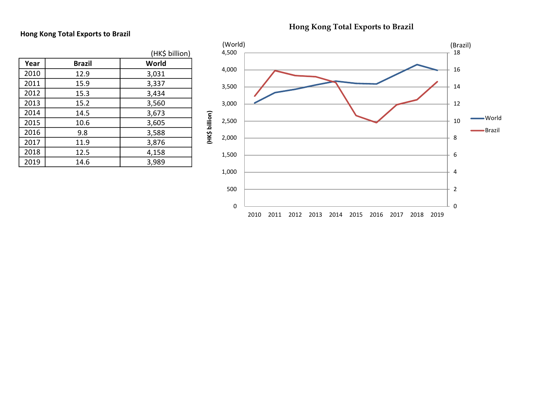## Hong Kong Total Exports to Brazil

| Hong Kong Total Exports to Brazil |
|-----------------------------------|
|                                   |

|      |               | (HK\$ billion) |
|------|---------------|----------------|
| Year | <b>Brazil</b> | World          |
| 2010 | 12.9          | 3,031          |
| 2011 | 15.9          | 3,337          |
| 2012 | 15.3          | 3,434          |
| 2013 | 15.2          | 3,560          |
| 2014 | 14.5          | 3,673          |
| 2015 | 10.6          | 3,605          |
| 2016 | 9.8           | 3,588          |
| 2017 | 11.9          | 3,876          |
| 2018 | 12.5          | 4,158          |
| 2019 | 14.6          | 3,989          |